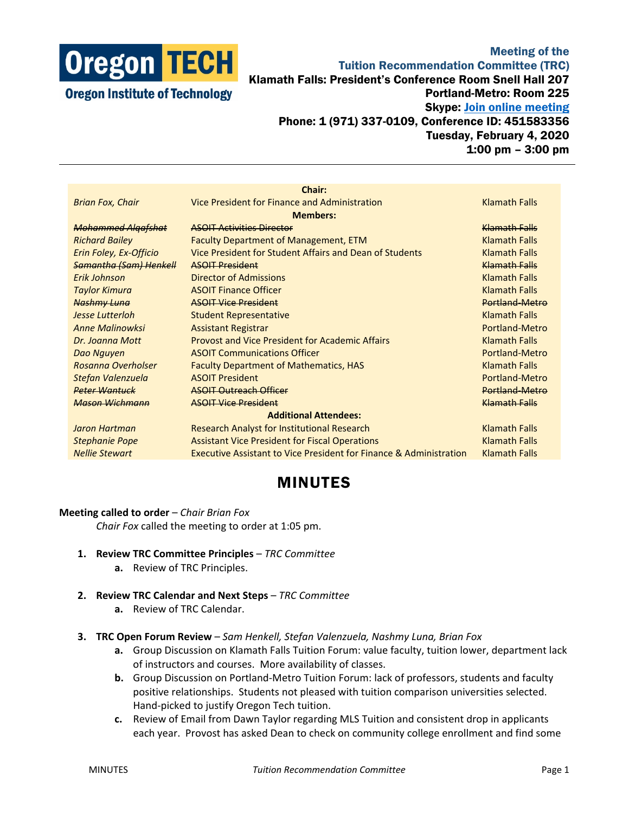

## Meeting of the Tuition Recommendation Committee (TRC) Klamath Falls: President's Conference Room Snell Hall 207 Portland-Metro: Room 225 Skype: [Join online meeting](https://meet.lync.com/oregontech/sn207/TD6EDWWK) Phone: 1 (971) 337-0109, Conference ID: 451583356 Tuesday, February 4, 2020 1:00 pm – 3:00 pm

|                               | Chair:                                                                        |                      |
|-------------------------------|-------------------------------------------------------------------------------|----------------------|
| <b>Brian Fox, Chair</b>       | Vice President for Finance and Administration                                 | <b>Klamath Falls</b> |
|                               | <b>Members:</b>                                                               |                      |
| <b>Mohammed Algafshat</b>     | <b>ASOIT Activities Director</b>                                              | Klamath Falls        |
| <b>Richard Bailey</b>         | <b>Faculty Department of Management, ETM</b>                                  | <b>Klamath Falls</b> |
| Erin Foley, Ex-Officio        | Vice President for Student Affairs and Dean of Students                       | <b>Klamath Falls</b> |
| <b>Samantha (Sam) Henkell</b> | <b>ASOIT President</b>                                                        | Klamath Falls        |
| <b>Frik Johnson</b>           | <b>Director of Admissions</b>                                                 | <b>Klamath Falls</b> |
| <b>Taylor Kimura</b>          | <b>ASOIT Finance Officer</b>                                                  | <b>Klamath Falls</b> |
| Nashmy Luna                   | <b>ASOIT Vice President</b>                                                   | Portland-Metro       |
| <b>Jesse Lutterloh</b>        | <b>Student Representative</b>                                                 | <b>Klamath Falls</b> |
| <b>Anne Malinowksi</b>        | <b>Assistant Registrar</b>                                                    | Portland-Metro       |
| Dr. Joanna Mott               | <b>Provost and Vice President for Academic Affairs</b>                        | <b>Klamath Falls</b> |
| Dao Nguyen                    | <b>ASOIT Communications Officer</b>                                           | Portland-Metro       |
| Rosanna Overholser            | <b>Faculty Department of Mathematics, HAS</b>                                 | <b>Klamath Falls</b> |
| Stefan Valenzuela             | <b>ASOIT President</b>                                                        | Portland-Metro       |
| <b>Peter Wantuck</b>          | <b>ASOIT Outreach Officer</b>                                                 | Portland-Metro       |
| Mason Wichmann                | <b>ASOIT Vice President</b>                                                   | <b>Klamath Falls</b> |
| <b>Additional Attendees:</b>  |                                                                               |                      |
| Jaron Hartman                 | Research Analyst for Institutional Research                                   | <b>Klamath Falls</b> |
| <b>Stephanie Pope</b>         | <b>Assistant Vice President for Fiscal Operations</b>                         | <b>Klamath Falls</b> |
| <b>Nellie Stewart</b>         | <b>Executive Assistant to Vice President for Finance &amp; Administration</b> | <b>Klamath Falls</b> |

## MINUTES

## **Meeting called to order** – *Chair Brian Fox*

*Chair Fox* called the meeting to order at 1:05 pm.

- **1. Review TRC Committee Principles** *TRC Committee*
	- **a.** Review of TRC Principles.
- **2. Review TRC Calendar and Next Steps** *TRC Committee*
	- **a.** Review of TRC Calendar.
- **3. TRC Open Forum Review** *Sam Henkell, Stefan Valenzuela, Nashmy Luna, Brian Fox*
	- **a.** Group Discussion on Klamath Falls Tuition Forum: value faculty, tuition lower, department lack of instructors and courses. More availability of classes.
	- **b.** Group Discussion on Portland-Metro Tuition Forum: lack of professors, students and faculty positive relationships. Students not pleased with tuition comparison universities selected. Hand-picked to justify Oregon Tech tuition.
	- **c.** Review of Email from Dawn Taylor regarding MLS Tuition and consistent drop in applicants each year. Provost has asked Dean to check on community college enrollment and find some